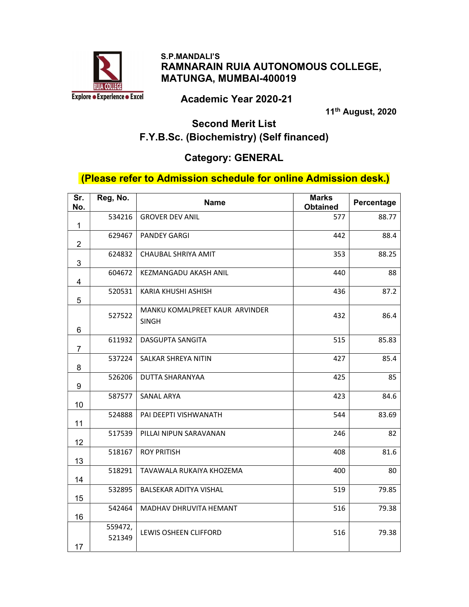

#### S.P.MANDALI'S RAMNARAIN RUIA AUTONOMOUS COLLEGE, MATUNGA, MUMBAI-400019

#### Academic Year 2020-21

th August, 2020

# Second Merit List F.Y.B.Sc. (Biochemistry) (Self financed)

## Category: GENERAL

## (Please refer to Admission schedule for online Admission desk.)

| Sr.<br>No.     | Reg, No.          | <b>Name</b>                                    | <b>Marks</b><br><b>Obtained</b> | Percentage |
|----------------|-------------------|------------------------------------------------|---------------------------------|------------|
| $\mathbf{1}$   | 534216            | <b>GROVER DEV ANIL</b>                         | 577                             | 88.77      |
| $\overline{2}$ | 629467            | <b>PANDEY GARGI</b>                            | 442                             | 88.4       |
| 3              | 624832            | CHAUBAL SHRIYA AMIT                            | 353                             | 88.25      |
| $\overline{4}$ | 604672            | KEZMANGADU AKASH ANIL                          | 440                             | 88         |
| 5              | 520531            | KARIA KHUSHI ASHISH                            | 436                             | 87.2       |
| 6              | 527522            | MANKU KOMALPREET KAUR ARVINDER<br><b>SINGH</b> | 432                             | 86.4       |
| $\overline{7}$ | 611932            | DASGUPTA SANGITA                               | 515                             | 85.83      |
| 8              | 537224            | SALKAR SHREYA NITIN                            | 427                             | 85.4       |
| 9              | 526206            | <b>DUTTA SHARANYAA</b>                         | 425                             | 85         |
| 10             | 587577            | SANAL ARYA                                     | 423                             | 84.6       |
| 11             | 524888            | PAI DEEPTI VISHWANATH                          | 544                             | 83.69      |
| 12             | 517539            | PILLAI NIPUN SARAVANAN                         | 246                             | 82         |
| 13             | 518167            | <b>ROY PRITISH</b>                             | 408                             | 81.6       |
| 14             | 518291            | TAVAWALA RUKAIYA KHOZEMA                       | 400                             | 80         |
| 15             | 532895            | BALSEKAR ADITYA VISHAL                         | 519                             | 79.85      |
| 16             | 542464            | MADHAV DHRUVITA HEMANT                         | 516                             | 79.38      |
| 17             | 559472,<br>521349 | LEWIS OSHEEN CLIFFORD                          | 516                             | 79.38      |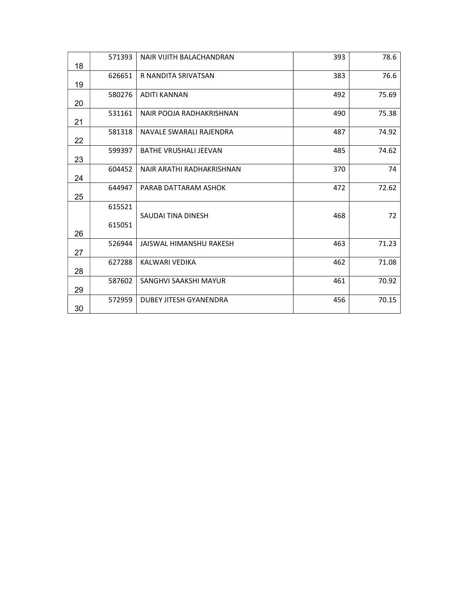| 18 | 571393 | NAIR VIJITH BALACHANDRAN     | 393 | 78.6  |
|----|--------|------------------------------|-----|-------|
| 19 | 626651 | R NANDITA SRIVATSAN          | 383 | 76.6  |
| 20 | 580276 | <b>ADITI KANNAN</b>          | 492 | 75.69 |
| 21 | 531161 | NAIR POOJA RADHAKRISHNAN     | 490 | 75.38 |
| 22 | 581318 | NAVALE SWARALI RAJENDRA      | 487 | 74.92 |
| 23 | 599397 | <b>BATHE VRUSHALI JEEVAN</b> | 485 | 74.62 |
| 24 | 604452 | NAIR ARATHI RADHAKRISHNAN    | 370 | 74    |
| 25 | 644947 | PARAB DATTARAM ASHOK         | 472 | 72.62 |
|    | 615521 | SAUDAI TINA DINESH           | 468 | 72    |
| 26 | 615051 |                              |     |       |
| 27 | 526944 | JAISWAL HIMANSHU RAKESH      | 463 | 71.23 |
| 28 | 627288 | KALWARI VEDIKA               | 462 | 71.08 |
| 29 | 587602 | SANGHVI SAAKSHI MAYUR        | 461 | 70.92 |
| 30 | 572959 | DUBEY JITESH GYANENDRA       | 456 | 70.15 |